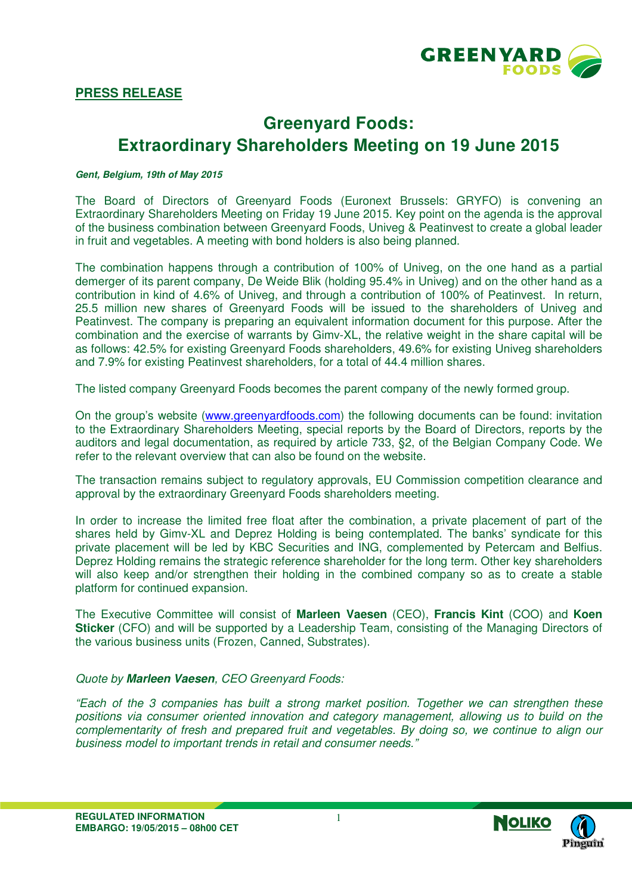

# **Greenyard Foods: Extraordinary Shareholders Meeting on 19 June 2015**

#### **Gent, Belgium, 19th of May 2015**

The Board of Directors of Greenyard Foods (Euronext Brussels: GRYFO) is convening an Extraordinary Shareholders Meeting on Friday 19 June 2015. Key point on the agenda is the approval of the business combination between Greenyard Foods, Univeg & Peatinvest to create a global leader in fruit and vegetables. A meeting with bond holders is also being planned.

The combination happens through a contribution of 100% of Univeg, on the one hand as a partial demerger of its parent company, De Weide Blik (holding 95.4% in Univeg) and on the other hand as a contribution in kind of 4.6% of Univeg, and through a contribution of 100% of Peatinvest. In return, 25.5 million new shares of Greenyard Foods will be issued to the shareholders of Univeg and Peatinvest. The company is preparing an equivalent information document for this purpose. After the combination and the exercise of warrants by Gimv-XL, the relative weight in the share capital will be as follows: 42.5% for existing Greenyard Foods shareholders, 49.6% for existing Univeg shareholders and 7.9% for existing Peatinvest shareholders, for a total of 44.4 million shares.

The listed company Greenyard Foods becomes the parent company of the newly formed group.

On the group's website (www.greenyardfoods.com) the following documents can be found: invitation to the Extraordinary Shareholders Meeting, special reports by the Board of Directors, reports by the auditors and legal documentation, as required by article 733, §2, of the Belgian Company Code. We refer to the relevant overview that can also be found on the website.

The transaction remains subject to regulatory approvals, EU Commission competition clearance and approval by the extraordinary Greenyard Foods shareholders meeting.

In order to increase the limited free float after the combination, a private placement of part of the shares held by Gimv-XL and Deprez Holding is being contemplated. The banks' syndicate for this private placement will be led by KBC Securities and ING, complemented by Petercam and Belfius. Deprez Holding remains the strategic reference shareholder for the long term. Other key shareholders will also keep and/or strengthen their holding in the combined company so as to create a stable platform for continued expansion.

The Executive Committee will consist of **Marleen Vaesen** (CEO), **Francis Kint** (COO) and **Koen Sticker** (CFO) and will be supported by a Leadership Team, consisting of the Managing Directors of the various business units (Frozen, Canned, Substrates).

# *Quote by* **Marleen Vaesen***, CEO Greenyard Foods:*

*"Each of the 3 companies has built a strong market position. Together we can strengthen these positions via consumer oriented innovation and category management, allowing us to build on the complementarity of fresh and prepared fruit and vegetables. By doing so, we continue to align our business model to important trends in retail and consumer needs."*